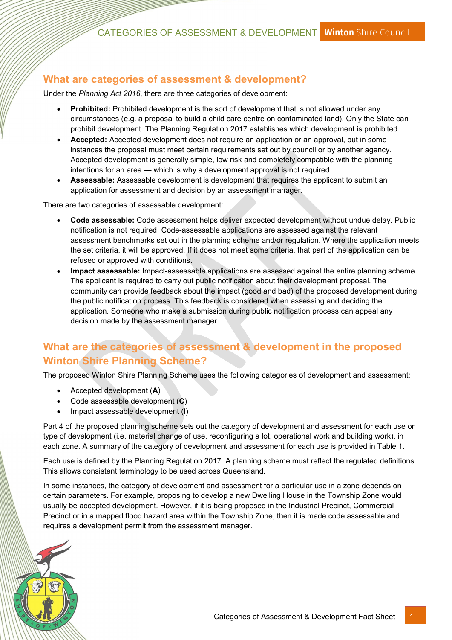### What are categories of assessment & development?

Under the Planning Act 2016, there are three categories of development:

- Prohibited: Prohibited development is the sort of development that is not allowed under any circumstances (e.g. a proposal to build a child care centre on contaminated land). Only the State can prohibit development. The Planning Regulation 2017 establishes which development is prohibited.
- Accepted: Accepted development does not require an application or an approval, but in some instances the proposal must meet certain requirements set out by council or by another agency. Accepted development is generally simple, low risk and completely compatible with the planning intentions for an area — which is why a development approval is not required.
- Assessable: Assessable development is development that requires the applicant to submit an application for assessment and decision by an assessment manager.

There are two categories of assessable development:

- Code assessable: Code assessment helps deliver expected development without undue delay. Public notification is not required. Code-assessable applications are assessed against the relevant assessment benchmarks set out in the planning scheme and/or regulation. Where the application meets the set criteria, it will be approved. If it does not meet some criteria, that part of the application can be refused or approved with conditions.
- Impact assessable: Impact-assessable applications are assessed against the entire planning scheme. The applicant is required to carry out public notification about their development proposal. The community can provide feedback about the impact (good and bad) of the proposed development during the public notification process. This feedback is considered when assessing and deciding the application. Someone who make a submission during public notification process can appeal any decision made by the assessment manager.

### What are the categories of assessment & development in the proposed Winton Shire Planning Scheme?

The proposed Winton Shire Planning Scheme uses the following categories of development and assessment:

- $\bullet$  Accepted development  $(A)$
- Code assessable development (C)
- Impact assessable development (I)

Part 4 of the proposed planning scheme sets out the category of development and assessment for each use or type of development (i.e. material change of use, reconfiguring a lot, operational work and building work), in each zone. A summary of the category of development and assessment for each use is provided in Table 1.

Each use is defined by the Planning Regulation 2017. A planning scheme must reflect the regulated definitions. This allows consistent terminology to be used across Queensland.

In some instances, the category of development and assessment for a particular use in a zone depends on certain parameters. For example, proposing to develop a new Dwelling House in the Township Zone would usually be accepted development. However, if it is being proposed in the Industrial Precinct, Commercial Precinct or in a mapped flood hazard area within the Township Zone, then it is made code assessable and requires a development permit from the assessment manager.

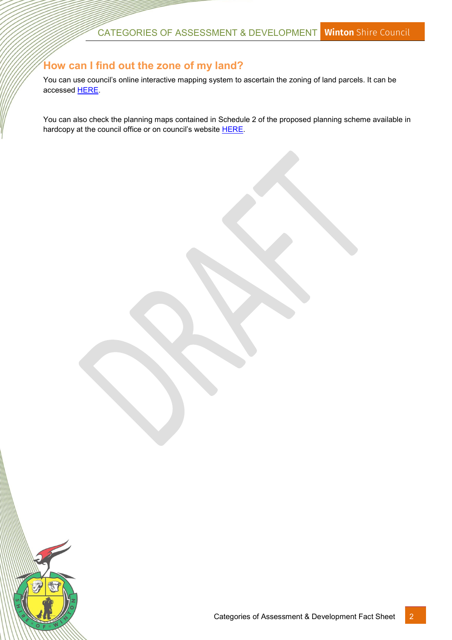#### How can I find out the zone of my land?

You can use council's online interactive mapping system to ascertain the zoning of land parcels. It can be accessed [HERE.](https://winton.maps.arcgis.com/home/index.html)

You can also check the planning maps contained in Schedule 2 of the proposed planning scheme available in hardcopy at the council office or on council's website **[HERE](http://www.winton.qld.gov.au/planning-scheme)**.

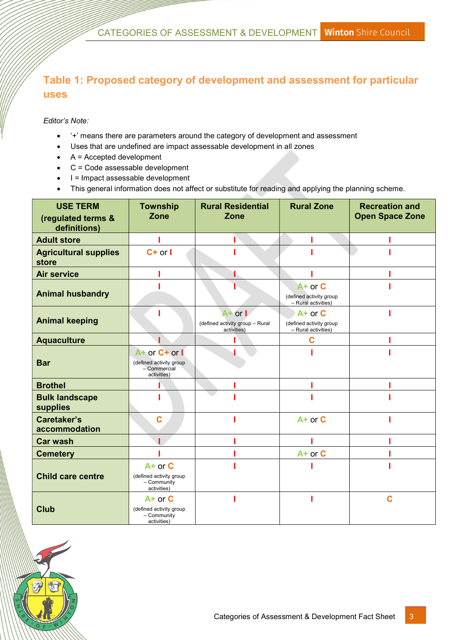# Table 1: Proposed category of development and assessment for particular uses

Editor's Note:

- '+' means there are parameters around the category of development and assessment
- Uses that are undefined are impact assessable development in all zones
- $\bullet$  A = Accepted development
- C = Code assessable development
- I = Impact assessable development
- This general information does not affect or substitute for reading and applying the planning scheme.

| <b>USE TERM</b>                       | <b>Township</b><br>Zone                                                 | <b>Rural Residential</b><br><b>Zone</b>                       | <b>Rural Zone</b>                                             | <b>Recreation and</b><br><b>Open Space Zone</b> |
|---------------------------------------|-------------------------------------------------------------------------|---------------------------------------------------------------|---------------------------------------------------------------|-------------------------------------------------|
| (regulated terms &<br>definitions)    |                                                                         |                                                               |                                                               |                                                 |
| <b>Adult store</b>                    |                                                                         |                                                               |                                                               |                                                 |
| <b>Agricultural supplies</b><br>store | $C+$ or $I$                                                             |                                                               |                                                               |                                                 |
| <b>Air service</b>                    |                                                                         |                                                               |                                                               |                                                 |
| <b>Animal husbandry</b>               |                                                                         |                                                               | A+ or C<br>(defined activity group<br>- Rural activities)     |                                                 |
| <b>Animal keeping</b>                 |                                                                         | $A+$ or $I$<br>(defined activity group - Rural<br>activities) | $A+$ or $C$<br>(defined activity group<br>- Rural activities) |                                                 |
| <b>Aquaculture</b>                    |                                                                         |                                                               | C                                                             |                                                 |
| <b>Bar</b>                            | A+ or C+ or I<br>(defined activity group<br>- Commercial<br>activities) |                                                               |                                                               |                                                 |
| <b>Brothel</b>                        |                                                                         |                                                               |                                                               |                                                 |
| <b>Bulk landscape</b><br>supplies     |                                                                         |                                                               |                                                               |                                                 |
| <b>Caretaker's</b><br>accommodation   | $\mathbf C$                                                             |                                                               | $A+$ or $C$                                                   |                                                 |
| <b>Car wash</b>                       |                                                                         |                                                               |                                                               |                                                 |
| <b>Cemetery</b>                       |                                                                         |                                                               | A+ or C                                                       |                                                 |
| <b>Child care centre</b>              | $A+$ or $C$<br>(defined activity group<br>- Community<br>activities)    |                                                               |                                                               |                                                 |
| <b>Club</b>                           | $A+$ or $C$<br>(defined activity group<br>- Community<br>activities)    |                                                               |                                                               | C                                               |

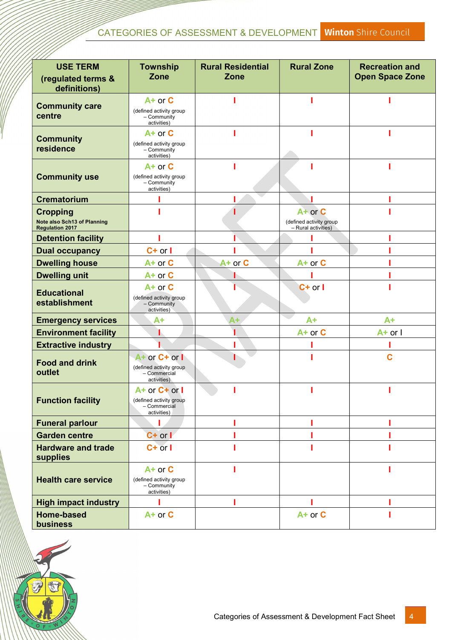# CATEGORIES OF ASSESSMENT & DEVELOPMENT Winton Shire Council

| <b>USE TERM</b>                                                                 | <b>Township</b>                                                               | <b>Rural Residential</b> | <b>Rural Zone</b>                                         | <b>Recreation and</b>  |
|---------------------------------------------------------------------------------|-------------------------------------------------------------------------------|--------------------------|-----------------------------------------------------------|------------------------|
| (regulated terms &<br>definitions)                                              | Zone                                                                          | Zone                     |                                                           | <b>Open Space Zone</b> |
| <b>Community care</b><br>centre                                                 | $A+$ or $C$<br>(defined activity group<br>- Community<br>activities)          |                          |                                                           |                        |
| <b>Community</b><br>residence                                                   | $A+$ or $C$<br>(defined activity group<br>- Community<br>activities)          |                          |                                                           |                        |
| <b>Community use</b>                                                            | $A+$ or $C$<br>(defined activity group<br>- Community<br>activities)          |                          |                                                           |                        |
| <b>Crematorium</b>                                                              |                                                                               |                          |                                                           |                        |
| <b>Cropping</b><br><b>Note also Sch13 of Planning</b><br><b>Regulation 2017</b> |                                                                               |                          | A+ or C<br>(defined activity group<br>- Rural activities) |                        |
| <b>Detention facility</b>                                                       |                                                                               |                          |                                                           |                        |
| <b>Dual occupancy</b>                                                           | $C+$ or $I$                                                                   |                          |                                                           |                        |
| <b>Dwelling house</b>                                                           | A+ or C                                                                       | A+ or C                  | A+ or C                                                   |                        |
| <b>Dwelling unit</b>                                                            | A+ or C                                                                       |                          |                                                           |                        |
| <b>Educational</b><br>establishment                                             | $A+$ or $C$<br>(defined activity group<br>- Community<br>activities)          |                          | $C+$ or $I$                                               |                        |
| <b>Emergency services</b>                                                       | $A+$                                                                          | A+                       | $A+$                                                      | $A+$                   |
| <b>Environment facility</b>                                                     |                                                                               |                          | $A+$ or $C$                                               | $A+$ or $I$            |
| <b>Extractive industry</b>                                                      |                                                                               |                          |                                                           |                        |
| <b>Food and drink</b><br>outlet                                                 | $A+$ or $C+$ or $I$<br>(defined activity group<br>- Commercial<br>activities) |                          |                                                           | C                      |
| <b>Function facility</b>                                                        | $A+$ or $C+$ or $I$<br>(defined activity group<br>- Commercial<br>activities) |                          |                                                           |                        |
| <b>Funeral parlour</b>                                                          |                                                                               |                          |                                                           |                        |
| <b>Garden centre</b>                                                            | $C+$ or $I$                                                                   |                          |                                                           |                        |
| <b>Hardware and trade</b><br>supplies                                           | $C+$ or $I$                                                                   |                          |                                                           |                        |
| <b>Health care service</b>                                                      | $A+$ or $C$<br>(defined activity group<br>- Community<br>activities)          |                          |                                                           |                        |
| <b>High impact industry</b>                                                     |                                                                               |                          |                                                           |                        |
| <b>Home-based</b><br><b>business</b>                                            | $A+$ or $C$                                                                   |                          | A+ or C                                                   |                        |

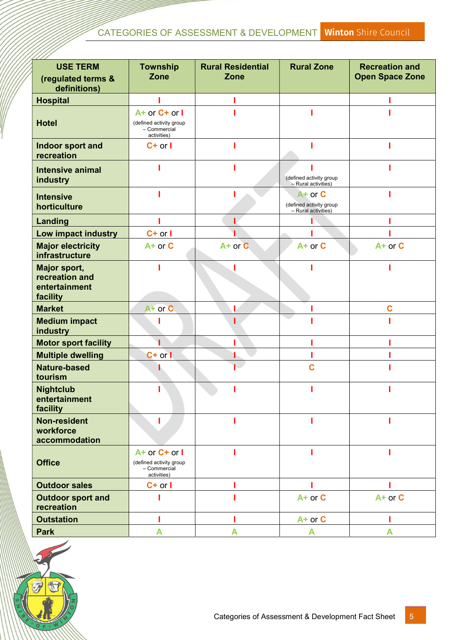# CATEGORIES OF ASSESSMENT & DEVELOPMENT Winton Shire Council

| <b>USE TERM</b>                                             | <b>Township</b>                                                               | <b>Rural Residential</b> | <b>Rural Zone</b>                                         | <b>Recreation and</b>  |
|-------------------------------------------------------------|-------------------------------------------------------------------------------|--------------------------|-----------------------------------------------------------|------------------------|
| (regulated terms &<br>definitions)                          | <b>Zone</b>                                                                   | Zone                     |                                                           | <b>Open Space Zone</b> |
| <b>Hospital</b>                                             |                                                                               |                          |                                                           |                        |
| <b>Hotel</b>                                                | $A+$ or $C+$ or $I$<br>(defined activity group<br>- Commercial<br>activities) |                          |                                                           |                        |
| Indoor sport and<br>recreation                              | $C+$ or $I$                                                                   |                          |                                                           |                        |
| <b>Intensive animal</b><br>industry                         |                                                                               |                          | (defined activity group<br>- Rural activities)            |                        |
| <b>Intensive</b><br>horticulture                            |                                                                               |                          | A+ or C<br>(defined activity group<br>- Rural activities) |                        |
| <b>Landing</b>                                              |                                                                               |                          |                                                           |                        |
| Low impact industry                                         | $C+$ or $I$                                                                   |                          |                                                           |                        |
| <b>Major electricity</b><br>infrastructure                  | $A+$ or $C$                                                                   | $A+$ or $C$              | A+ or C                                                   | A+ or C                |
| Major sport,<br>recreation and<br>entertainment<br>facility |                                                                               |                          |                                                           |                        |
| <b>Market</b>                                               | A+ or C                                                                       |                          |                                                           | C                      |
| <b>Medium impact</b><br>industry                            |                                                                               |                          |                                                           |                        |
| <b>Motor sport facility</b>                                 |                                                                               |                          |                                                           |                        |
| <b>Multiple dwelling</b>                                    | $C+$ or $I$                                                                   |                          |                                                           |                        |
| <b>Nature-based</b><br>tourism                              |                                                                               |                          | C                                                         |                        |
| <b>Nightclub</b><br>entertainment<br>facility               |                                                                               |                          |                                                           |                        |
| <b>Non-resident</b><br>workforce<br>accommodation           | L                                                                             |                          |                                                           |                        |
| <b>Office</b>                                               | A+ or C+ or I<br>(defined activity group<br>- Commercial<br>activities)       |                          |                                                           |                        |
| <b>Outdoor sales</b>                                        | $C+$ or $I$                                                                   |                          |                                                           |                        |
| <b>Outdoor sport and</b><br>recreation                      |                                                                               |                          | A+ or C                                                   | A+ or C                |
| <b>Outstation</b>                                           |                                                                               |                          | $A+$ or $C$                                               |                        |
| <b>Park</b>                                                 | A                                                                             | A                        | A                                                         | A                      |

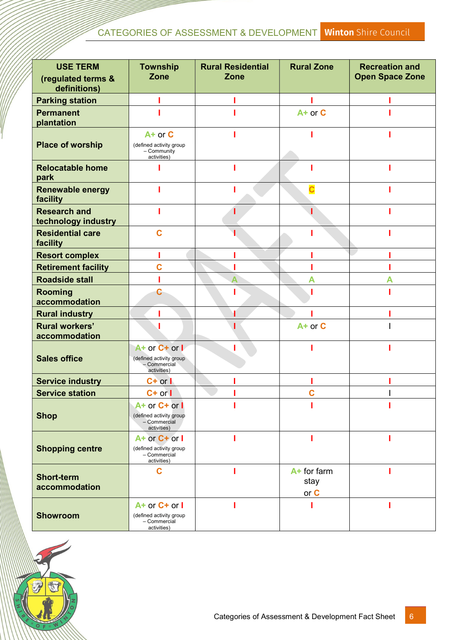| <b>USE TERM</b>                            | <b>Township</b>                                                               | <b>Rural Residential</b> | <b>Rural Zone</b>           | <b>Recreation and</b>  |
|--------------------------------------------|-------------------------------------------------------------------------------|--------------------------|-----------------------------|------------------------|
| (regulated terms &                         | Zone                                                                          | Zone                     |                             | <b>Open Space Zone</b> |
| definitions)                               |                                                                               |                          |                             |                        |
| <b>Parking station</b>                     |                                                                               |                          |                             |                        |
| <b>Permanent</b><br>plantation             |                                                                               |                          | $A+$ or $C$                 |                        |
| <b>Place of worship</b>                    | A+ or C<br>(defined activity group                                            |                          |                             |                        |
|                                            | - Community<br>activities)                                                    |                          |                             |                        |
| <b>Relocatable home</b><br>park            |                                                                               |                          |                             |                        |
| <b>Renewable energy</b><br>facility        |                                                                               |                          |                             |                        |
| <b>Research and</b><br>technology industry |                                                                               |                          |                             |                        |
| <b>Residential care</b><br>facility        | Ć                                                                             |                          |                             |                        |
| <b>Resort complex</b>                      |                                                                               |                          |                             |                        |
| <b>Retirement facility</b>                 | C                                                                             |                          |                             |                        |
| <b>Roadside stall</b>                      |                                                                               | Δ                        | А                           |                        |
| <b>Rooming</b><br>accommodation            | С                                                                             |                          |                             |                        |
| <b>Rural industry</b>                      |                                                                               |                          |                             |                        |
| <b>Rural workers'</b><br>accommodation     |                                                                               |                          | $A+$ or $C$                 |                        |
| <b>Sales office</b>                        | A+ or C+ or I<br>(defined activity group)<br>- Commercial<br>activities)      |                          |                             |                        |
| <b>Service industry</b>                    | $C+$ or $\mathsf{I}$                                                          |                          |                             |                        |
| <b>Service station</b>                     | $C+$ or $\vert$                                                               |                          | C                           |                        |
| <b>Shop</b>                                | A+ or C+ or I<br>(defined activity group<br>- Commercial<br>activities)       |                          |                             |                        |
| <b>Shopping centre</b>                     | A+ or C+ or I<br>(defined activity group<br>- Commercial<br>activities)       |                          |                             |                        |
| <b>Short-term</b><br>accommodation         | C                                                                             |                          | A+ for farm<br>stay<br>or C |                        |
| <b>Showroom</b>                            | $A+$ or $C+$ or $I$<br>(defined activity group<br>- Commercial<br>activities) |                          |                             |                        |